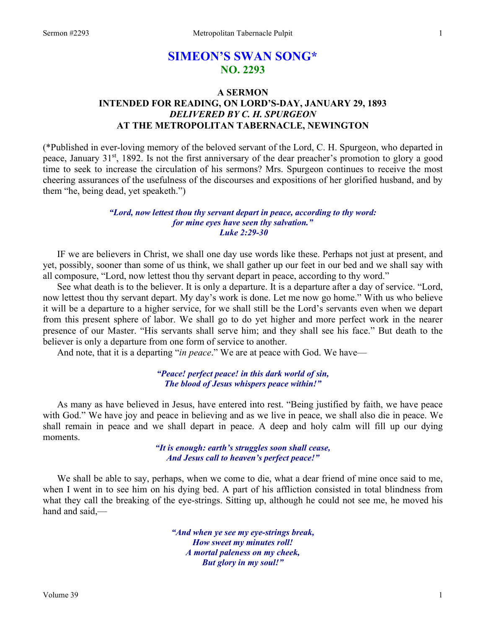# **SIMEON'S SWAN SONG\* NO. 2293**

## **A SERMON INTENDED FOR READING, ON LORD'S-DAY, JANUARY 29, 1893**  *DELIVERED BY C. H. SPURGEON*  **AT THE METROPOLITAN TABERNACLE, NEWINGTON**

(\*Published in ever-loving memory of the beloved servant of the Lord, C. H. Spurgeon, who departed in peace, January 31<sup>st</sup>, 1892. Is not the first anniversary of the dear preacher's promotion to glory a good time to seek to increase the circulation of his sermons? Mrs. Spurgeon continues to receive the most cheering assurances of the usefulness of the discourses and expositions of her glorified husband, and by them "he, being dead, yet speaketh.")

## *"Lord, now lettest thou thy servant depart in peace, according to thy word: for mine eyes have seen thy salvation." Luke 2:29-30*

IF we are believers in Christ, we shall one day use words like these. Perhaps not just at present, and yet, possibly, sooner than some of us think, we shall gather up our feet in our bed and we shall say with all composure, "Lord, now lettest thou thy servant depart in peace, according to thy word."

See what death is to the believer. It is only a departure. It is a departure after a day of service. "Lord, now lettest thou thy servant depart. My day's work is done. Let me now go home." With us who believe it will be a departure to a higher service, for we shall still be the Lord's servants even when we depart from this present sphere of labor. We shall go to do yet higher and more perfect work in the nearer presence of our Master. "His servants shall serve him; and they shall see his face." But death to the believer is only a departure from one form of service to another.

And note, that it is a departing "*in peace*." We are at peace with God. We have—

## *"Peace! perfect peace! in this dark world of sin, The blood of Jesus whispers peace within!"*

As many as have believed in Jesus, have entered into rest. "Being justified by faith, we have peace with God." We have joy and peace in believing and as we live in peace, we shall also die in peace. We shall remain in peace and we shall depart in peace. A deep and holy calm will fill up our dying moments.

> *"It is enough: earth's struggles soon shall cease, And Jesus call to heaven's perfect peace!"*

We shall be able to say, perhaps, when we come to die, what a dear friend of mine once said to me, when I went in to see him on his dying bed. A part of his affliction consisted in total blindness from what they call the breaking of the eye-strings. Sitting up, although he could not see me, he moved his hand and said,—

> *"And when ye see my eye-strings break, How sweet my minutes roll! A mortal paleness on my cheek, But glory in my soul!"*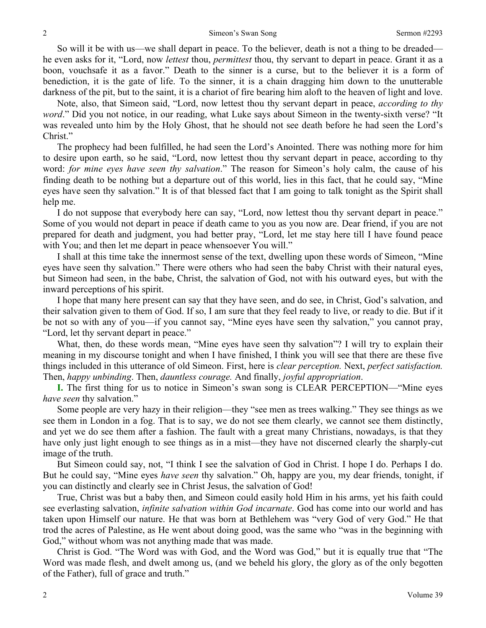So will it be with us—we shall depart in peace. To the believer, death is not a thing to be dreaded he even asks for it, "Lord, now *lettest* thou, *permittest* thou, thy servant to depart in peace. Grant it as a boon, vouchsafe it as a favor." Death to the sinner is a curse, but to the believer it is a form of benediction, it is the gate of life. To the sinner, it is a chain dragging him down to the unutterable darkness of the pit, but to the saint, it is a chariot of fire bearing him aloft to the heaven of light and love.

Note, also, that Simeon said, "Lord, now lettest thou thy servant depart in peace, *according to thy word*." Did you not notice, in our reading, what Luke says about Simeon in the twenty-sixth verse? "It was revealed unto him by the Holy Ghost, that he should not see death before he had seen the Lord's Christ."

The prophecy had been fulfilled, he had seen the Lord's Anointed. There was nothing more for him to desire upon earth, so he said, "Lord, now lettest thou thy servant depart in peace, according to thy word: *for mine eyes have seen thy salvation*." The reason for Simeon's holy calm, the cause of his finding death to be nothing but a departure out of this world, lies in this fact, that he could say, "Mine eyes have seen thy salvation." It is of that blessed fact that I am going to talk tonight as the Spirit shall help me.

I do not suppose that everybody here can say, "Lord, now lettest thou thy servant depart in peace." Some of you would not depart in peace if death came to you as you now are. Dear friend, if you are not prepared for death and judgment, you had better pray, "Lord, let me stay here till I have found peace with You; and then let me depart in peace whensoever You will."

I shall at this time take the innermost sense of the text, dwelling upon these words of Simeon, "Mine eyes have seen thy salvation." There were others who had seen the baby Christ with their natural eyes, but Simeon had seen, in the babe, Christ, the salvation of God, not with his outward eyes, but with the inward perceptions of his spirit.

I hope that many here present can say that they have seen, and do see, in Christ, God's salvation, and their salvation given to them of God. If so, I am sure that they feel ready to live, or ready to die. But if it be not so with any of you—if you cannot say, "Mine eyes have seen thy salvation," you cannot pray, "Lord, let thy servant depart in peace."

What, then, do these words mean, "Mine eyes have seen thy salvation"? I will try to explain their meaning in my discourse tonight and when I have finished, I think you will see that there are these five things included in this utterance of old Simeon. First, here is *clear perception.* Next, *perfect satisfaction.* Then, *happy unbinding*. Then, *dauntless courage.* And finally, *joyful appropriation*.

**I.** The first thing for us to notice in Simeon's swan song is CLEAR PERCEPTION—"Mine eyes *have seen* thy salvation."

Some people are very hazy in their religion—they "see men as trees walking." They see things as we see them in London in a fog. That is to say, we do not see them clearly, we cannot see them distinctly, and yet we do see them after a fashion. The fault with a great many Christians, nowadays, is that they have only just light enough to see things as in a mist—they have not discerned clearly the sharply-cut image of the truth.

But Simeon could say, not, "I think I see the salvation of God in Christ. I hope I do. Perhaps I do. But he could say, "Mine eyes *have seen* thy salvation." Oh, happy are you, my dear friends, tonight, if you can distinctly and clearly see in Christ Jesus, the salvation of God!

True, Christ was but a baby then, and Simeon could easily hold Him in his arms, yet his faith could see everlasting salvation, *infinite salvation within God incarnate*. God has come into our world and has taken upon Himself our nature. He that was born at Bethlehem was "very God of very God." He that trod the acres of Palestine, as He went about doing good, was the same who "was in the beginning with God," without whom was not anything made that was made.

Christ is God. "The Word was with God, and the Word was God," but it is equally true that "The Word was made flesh, and dwelt among us, (and we beheld his glory, the glory as of the only begotten of the Father), full of grace and truth."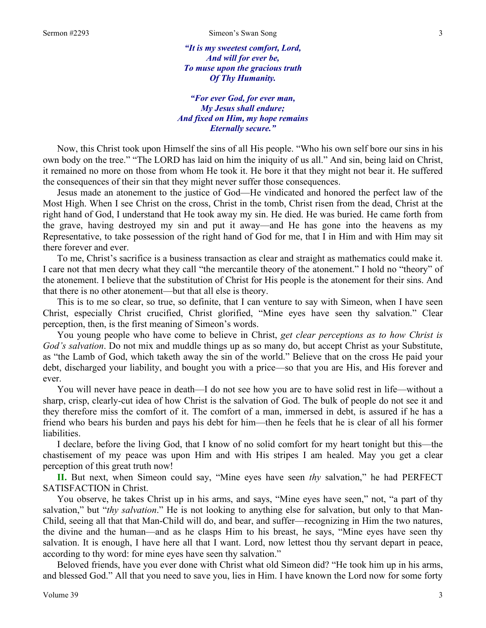*"It is my sweetest comfort, Lord, And will for ever be, To muse upon the gracious truth Of Thy Humanity.* 

## *"For ever God, for ever man, My Jesus shall endure; And fixed on Him, my hope remains Eternally secure."*

Now, this Christ took upon Himself the sins of all His people. "Who his own self bore our sins in his own body on the tree." "The LORD has laid on him the iniquity of us all." And sin, being laid on Christ, it remained no more on those from whom He took it. He bore it that they might not bear it. He suffered the consequences of their sin that they might never suffer those consequences.

Jesus made an atonement to the justice of God—He vindicated and honored the perfect law of the Most High. When I see Christ on the cross, Christ in the tomb, Christ risen from the dead, Christ at the right hand of God, I understand that He took away my sin. He died. He was buried. He came forth from the grave, having destroyed my sin and put it away—and He has gone into the heavens as my Representative, to take possession of the right hand of God for me, that I in Him and with Him may sit there forever and ever.

To me, Christ's sacrifice is a business transaction as clear and straight as mathematics could make it. I care not that men decry what they call "the mercantile theory of the atonement." I hold no "theory" of the atonement. I believe that the substitution of Christ for His people is the atonement for their sins. And that there is no other atonement—but that all else is theory.

This is to me so clear, so true, so definite, that I can venture to say with Simeon, when I have seen Christ, especially Christ crucified, Christ glorified, "Mine eyes have seen thy salvation." Clear perception, then, is the first meaning of Simeon's words.

You young people who have come to believe in Christ, *get clear perceptions as to how Christ is God's salvation*. Do not mix and muddle things up as so many do, but accept Christ as your Substitute, as "the Lamb of God, which taketh away the sin of the world." Believe that on the cross He paid your debt, discharged your liability, and bought you with a price—so that you are His, and His forever and ever.

You will never have peace in death—I do not see how you are to have solid rest in life—without a sharp, crisp, clearly-cut idea of how Christ is the salvation of God. The bulk of people do not see it and they therefore miss the comfort of it. The comfort of a man, immersed in debt, is assured if he has a friend who bears his burden and pays his debt for him—then he feels that he is clear of all his former liabilities.

I declare, before the living God, that I know of no solid comfort for my heart tonight but this—the chastisement of my peace was upon Him and with His stripes I am healed. May you get a clear perception of this great truth now!

**II.** But next, when Simeon could say, "Mine eyes have seen *thy* salvation," he had PERFECT SATISFACTION in Christ.

You observe, he takes Christ up in his arms, and says, "Mine eyes have seen," not, "a part of thy salvation," but "*thy salvation*." He is not looking to anything else for salvation, but only to that Man-Child, seeing all that that Man-Child will do, and bear, and suffer—recognizing in Him the two natures, the divine and the human—and as he clasps Him to his breast, he says, "Mine eyes have seen thy salvation. It is enough, I have here all that I want. Lord, now lettest thou thy servant depart in peace, according to thy word: for mine eyes have seen thy salvation."

Beloved friends, have you ever done with Christ what old Simeon did? "He took him up in his arms, and blessed God." All that you need to save you, lies in Him. I have known the Lord now for some forty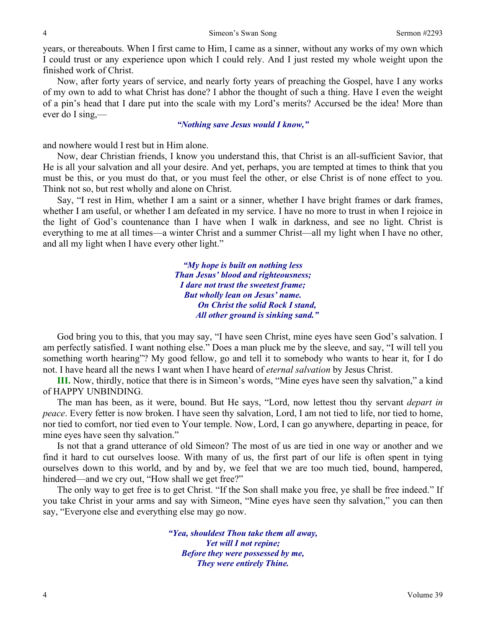years, or thereabouts. When I first came to Him, I came as a sinner, without any works of my own which I could trust or any experience upon which I could rely. And I just rested my whole weight upon the finished work of Christ.

Now, after forty years of service, and nearly forty years of preaching the Gospel, have I any works of my own to add to what Christ has done? I abhor the thought of such a thing. Have I even the weight of a pin's head that I dare put into the scale with my Lord's merits? Accursed be the idea! More than ever do I sing,—

## *"Nothing save Jesus would I know,"*

and nowhere would I rest but in Him alone.

Now, dear Christian friends, I know you understand this, that Christ is an all-sufficient Savior, that He is all your salvation and all your desire. And yet, perhaps, you are tempted at times to think that you must be this, or you must do that, or you must feel the other, or else Christ is of none effect to you. Think not so, but rest wholly and alone on Christ.

Say, "I rest in Him, whether I am a saint or a sinner, whether I have bright frames or dark frames, whether I am useful, or whether I am defeated in my service. I have no more to trust in when I rejoice in the light of God's countenance than I have when I walk in darkness, and see no light. Christ is everything to me at all times—a winter Christ and a summer Christ—all my light when I have no other, and all my light when I have every other light."

> *"My hope is built on nothing less Than Jesus' blood and righteousness; I dare not trust the sweetest frame; But wholly lean on Jesus' name. On Christ the solid Rock I stand, All other ground is sinking sand."*

God bring you to this, that you may say, "I have seen Christ, mine eyes have seen God's salvation. I am perfectly satisfied. I want nothing else." Does a man pluck me by the sleeve, and say, "I will tell you something worth hearing"? My good fellow, go and tell it to somebody who wants to hear it, for I do not. I have heard all the news I want when I have heard of *eternal salvation* by Jesus Christ.

**III.** Now, thirdly, notice that there is in Simeon's words, "Mine eyes have seen thy salvation," a kind of HAPPY UNBINDING.

The man has been, as it were, bound. But He says, "Lord, now lettest thou thy servant *depart in peace*. Every fetter is now broken. I have seen thy salvation, Lord, I am not tied to life, nor tied to home, nor tied to comfort, nor tied even to Your temple. Now, Lord, I can go anywhere, departing in peace, for mine eyes have seen thy salvation."

Is not that a grand utterance of old Simeon? The most of us are tied in one way or another and we find it hard to cut ourselves loose. With many of us, the first part of our life is often spent in tying ourselves down to this world, and by and by, we feel that we are too much tied, bound, hampered, hindered—and we cry out, "How shall we get free?"

The only way to get free is to get Christ. "If the Son shall make you free, ye shall be free indeed." If you take Christ in your arms and say with Simeon, "Mine eyes have seen thy salvation," you can then say, "Everyone else and everything else may go now.

> *"Yea, shouldest Thou take them all away, Yet will I not repine; Before they were possessed by me, They were entirely Thine.*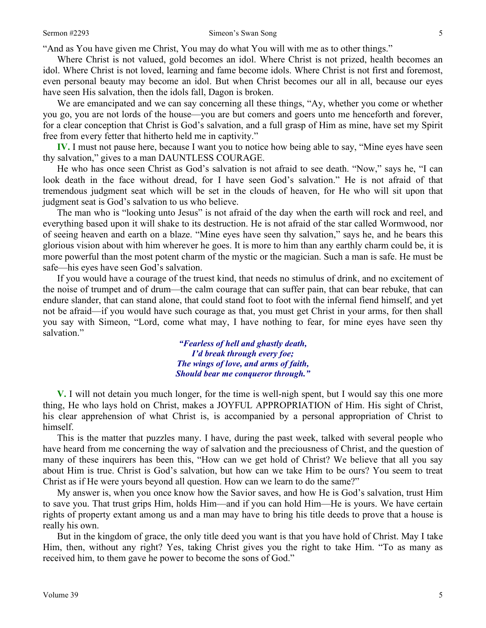"And as You have given me Christ, You may do what You will with me as to other things."

Where Christ is not valued, gold becomes an idol. Where Christ is not prized, health becomes an idol. Where Christ is not loved, learning and fame become idols. Where Christ is not first and foremost, even personal beauty may become an idol. But when Christ becomes our all in all, because our eyes have seen His salvation, then the idols fall, Dagon is broken.

We are emancipated and we can say concerning all these things, "Ay, whether you come or whether you go, you are not lords of the house—you are but comers and goers unto me henceforth and forever, for a clear conception that Christ is God's salvation, and a full grasp of Him as mine, have set my Spirit free from every fetter that hitherto held me in captivity."

**IV.** I must not pause here, because I want you to notice how being able to say, "Mine eyes have seen thy salvation," gives to a man DAUNTLESS COURAGE.

He who has once seen Christ as God's salvation is not afraid to see death. "Now," says he, "I can look death in the face without dread, for I have seen God's salvation." He is not afraid of that tremendous judgment seat which will be set in the clouds of heaven, for He who will sit upon that judgment seat is God's salvation to us who believe.

The man who is "looking unto Jesus" is not afraid of the day when the earth will rock and reel, and everything based upon it will shake to its destruction. He is not afraid of the star called Wormwood, nor of seeing heaven and earth on a blaze. "Mine eyes have seen thy salvation," says he, and he bears this glorious vision about with him wherever he goes. It is more to him than any earthly charm could be, it is more powerful than the most potent charm of the mystic or the magician. Such a man is safe. He must be safe—his eyes have seen God's salvation.

If you would have a courage of the truest kind, that needs no stimulus of drink, and no excitement of the noise of trumpet and of drum—the calm courage that can suffer pain, that can bear rebuke, that can endure slander, that can stand alone, that could stand foot to foot with the infernal fiend himself, and yet not be afraid—if you would have such courage as that, you must get Christ in your arms, for then shall you say with Simeon, "Lord, come what may, I have nothing to fear, for mine eyes have seen thy salvation."

> *"Fearless of hell and ghastly death, I'd break through every foe; The wings of love, and arms of faith, Should bear me conqueror through."*

**V.** I will not detain you much longer, for the time is well-nigh spent, but I would say this one more thing, He who lays hold on Christ, makes a JOYFUL APPROPRIATION of Him. His sight of Christ, his clear apprehension of what Christ is, is accompanied by a personal appropriation of Christ to himself.

This is the matter that puzzles many. I have, during the past week, talked with several people who have heard from me concerning the way of salvation and the preciousness of Christ, and the question of many of these inquirers has been this, "How can we get hold of Christ? We believe that all you say about Him is true. Christ is God's salvation, but how can we take Him to be ours? You seem to treat Christ as if He were yours beyond all question. How can we learn to do the same?"

My answer is, when you once know how the Savior saves, and how He is God's salvation, trust Him to save you. That trust grips Him, holds Him—and if you can hold Him—He is yours. We have certain rights of property extant among us and a man may have to bring his title deeds to prove that a house is really his own.

But in the kingdom of grace, the only title deed you want is that you have hold of Christ. May I take Him, then, without any right? Yes, taking Christ gives you the right to take Him. "To as many as received him, to them gave he power to become the sons of God."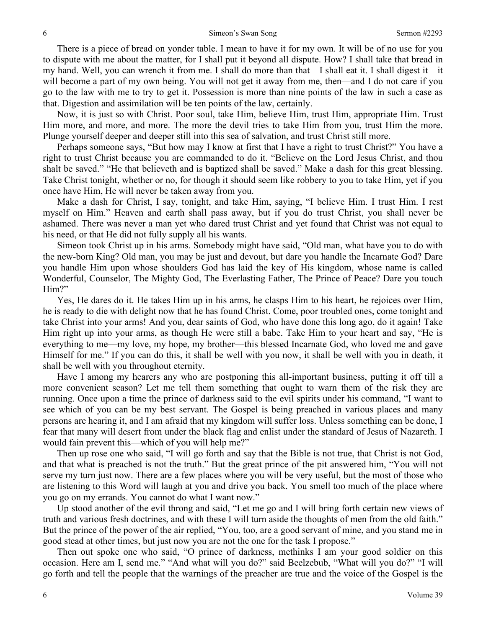There is a piece of bread on yonder table. I mean to have it for my own. It will be of no use for you to dispute with me about the matter, for I shall put it beyond all dispute. How? I shall take that bread in my hand. Well, you can wrench it from me. I shall do more than that—I shall eat it. I shall digest it—it will become a part of my own being. You will not get it away from me, then—and I do not care if you go to the law with me to try to get it. Possession is more than nine points of the law in such a case as that. Digestion and assimilation will be ten points of the law, certainly.

Now, it is just so with Christ. Poor soul, take Him, believe Him, trust Him, appropriate Him. Trust Him more, and more, and more. The more the devil tries to take Him from you, trust Him the more. Plunge yourself deeper and deeper still into this sea of salvation, and trust Christ still more.

Perhaps someone says, "But how may I know at first that I have a right to trust Christ?" You have a right to trust Christ because you are commanded to do it. "Believe on the Lord Jesus Christ, and thou shalt be saved." "He that believeth and is baptized shall be saved." Make a dash for this great blessing. Take Christ tonight, whether or no, for though it should seem like robbery to you to take Him, yet if you once have Him, He will never be taken away from you.

Make a dash for Christ, I say, tonight, and take Him, saying, "I believe Him. I trust Him. I rest myself on Him." Heaven and earth shall pass away, but if you do trust Christ, you shall never be ashamed. There was never a man yet who dared trust Christ and yet found that Christ was not equal to his need, or that He did not fully supply all his wants.

Simeon took Christ up in his arms. Somebody might have said, "Old man, what have you to do with the new-born King? Old man, you may be just and devout, but dare you handle the Incarnate God? Dare you handle Him upon whose shoulders God has laid the key of His kingdom, whose name is called Wonderful, Counselor, The Mighty God, The Everlasting Father, The Prince of Peace? Dare you touch Him?"

Yes, He dares do it. He takes Him up in his arms, he clasps Him to his heart, he rejoices over Him, he is ready to die with delight now that he has found Christ. Come, poor troubled ones, come tonight and take Christ into your arms! And you, dear saints of God, who have done this long ago, do it again! Take Him right up into your arms, as though He were still a babe. Take Him to your heart and say, "He is everything to me—my love, my hope, my brother—this blessed Incarnate God, who loved me and gave Himself for me." If you can do this, it shall be well with you now, it shall be well with you in death, it shall be well with you throughout eternity.

Have I among my hearers any who are postponing this all-important business, putting it off till a more convenient season? Let me tell them something that ought to warn them of the risk they are running. Once upon a time the prince of darkness said to the evil spirits under his command, "I want to see which of you can be my best servant. The Gospel is being preached in various places and many persons are hearing it, and I am afraid that my kingdom will suffer loss. Unless something can be done, I fear that many will desert from under the black flag and enlist under the standard of Jesus of Nazareth. I would fain prevent this—which of you will help me?"

Then up rose one who said, "I will go forth and say that the Bible is not true, that Christ is not God, and that what is preached is not the truth." But the great prince of the pit answered him, "You will not serve my turn just now. There are a few places where you will be very useful, but the most of those who are listening to this Word will laugh at you and drive you back. You smell too much of the place where you go on my errands. You cannot do what I want now."

Up stood another of the evil throng and said, "Let me go and I will bring forth certain new views of truth and various fresh doctrines, and with these I will turn aside the thoughts of men from the old faith." But the prince of the power of the air replied, "You, too, are a good servant of mine, and you stand me in good stead at other times, but just now you are not the one for the task I propose."

Then out spoke one who said, "O prince of darkness, methinks I am your good soldier on this occasion. Here am I, send me." "And what will you do?" said Beelzebub, "What will you do?" "I will go forth and tell the people that the warnings of the preacher are true and the voice of the Gospel is the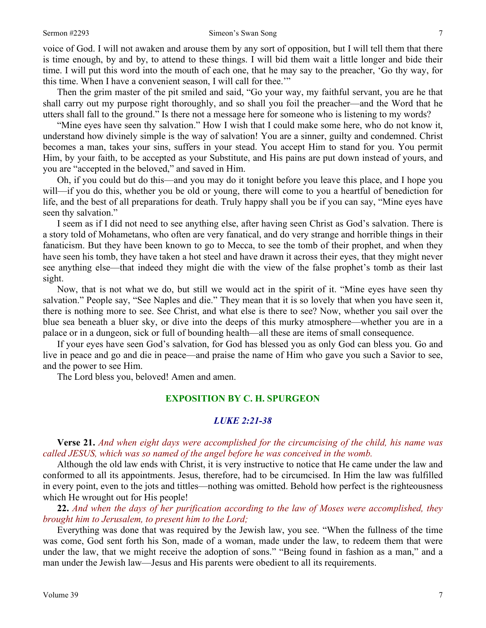### Sermon #2293 Simeon's Swan Song 7

voice of God. I will not awaken and arouse them by any sort of opposition, but I will tell them that there is time enough, by and by, to attend to these things. I will bid them wait a little longer and bide their time. I will put this word into the mouth of each one, that he may say to the preacher, 'Go thy way, for this time. When I have a convenient season, I will call for thee.'"

Then the grim master of the pit smiled and said, "Go your way, my faithful servant, you are he that shall carry out my purpose right thoroughly, and so shall you foil the preacher—and the Word that he utters shall fall to the ground." Is there not a message here for someone who is listening to my words?

"Mine eyes have seen thy salvation." How I wish that I could make some here, who do not know it, understand how divinely simple is the way of salvation! You are a sinner, guilty and condemned. Christ becomes a man, takes your sins, suffers in your stead. You accept Him to stand for you. You permit Him, by your faith, to be accepted as your Substitute, and His pains are put down instead of yours, and you are "accepted in the beloved," and saved in Him.

Oh, if you could but do this—and you may do it tonight before you leave this place, and I hope you will—if you do this, whether you be old or young, there will come to you a heartful of benediction for life, and the best of all preparations for death. Truly happy shall you be if you can say, "Mine eyes have seen thy salvation."

I seem as if I did not need to see anything else, after having seen Christ as God's salvation. There is a story told of Mohametans, who often are very fanatical, and do very strange and horrible things in their fanaticism. But they have been known to go to Mecca, to see the tomb of their prophet, and when they have seen his tomb, they have taken a hot steel and have drawn it across their eyes, that they might never see anything else—that indeed they might die with the view of the false prophet's tomb as their last sight.

Now, that is not what we do, but still we would act in the spirit of it. "Mine eyes have seen thy salvation." People say, "See Naples and die." They mean that it is so lovely that when you have seen it, there is nothing more to see. See Christ, and what else is there to see? Now, whether you sail over the blue sea beneath a bluer sky, or dive into the deeps of this murky atmosphere—whether you are in a palace or in a dungeon, sick or full of bounding health—all these are items of small consequence.

If your eyes have seen God's salvation, for God has blessed you as only God can bless you. Go and live in peace and go and die in peace—and praise the name of Him who gave you such a Savior to see, and the power to see Him.

The Lord bless you, beloved! Amen and amen.

## **EXPOSITION BY C. H. SPURGEON**

## *LUKE 2:21-38*

**Verse 21.** *And when eight days were accomplished for the circumcising of the child, his name was called JESUS, which was so named of the angel before he was conceived in the womb.* 

Although the old law ends with Christ, it is very instructive to notice that He came under the law and conformed to all its appointments. Jesus, therefore, had to be circumcised. In Him the law was fulfilled in every point, even to the jots and tittles—nothing was omitted. Behold how perfect is the righteousness which He wrought out for His people!

**22.** *And when the days of her purification according to the law of Moses were accomplished, they brought him to Jerusalem, to present him to the Lord;* 

Everything was done that was required by the Jewish law, you see. "When the fullness of the time was come, God sent forth his Son, made of a woman, made under the law, to redeem them that were under the law, that we might receive the adoption of sons." "Being found in fashion as a man," and a man under the Jewish law—Jesus and His parents were obedient to all its requirements.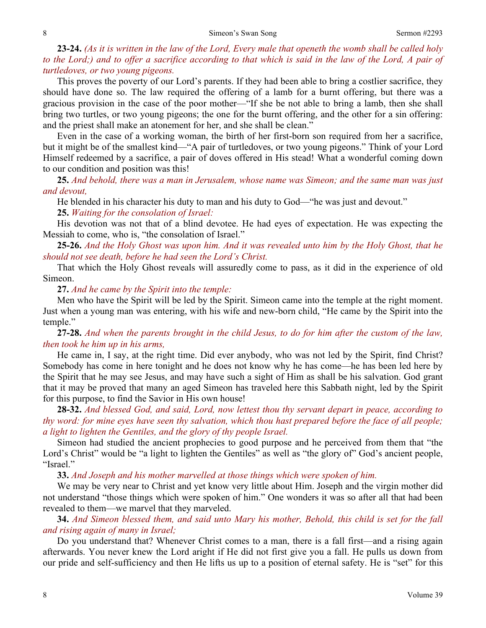**23-24.** *(As it is written in the law of the Lord, Every male that openeth the womb shall be called holy to the Lord;) and to offer a sacrifice according to that which is said in the law of the Lord, A pair of turtledoves, or two young pigeons.* 

This proves the poverty of our Lord's parents. If they had been able to bring a costlier sacrifice, they should have done so. The law required the offering of a lamb for a burnt offering, but there was a gracious provision in the case of the poor mother—"If she be not able to bring a lamb, then she shall bring two turtles, or two young pigeons; the one for the burnt offering, and the other for a sin offering: and the priest shall make an atonement for her, and she shall be clean."

Even in the case of a working woman, the birth of her first-born son required from her a sacrifice, but it might be of the smallest kind—"A pair of turtledoves, or two young pigeons." Think of your Lord Himself redeemed by a sacrifice, a pair of doves offered in His stead! What a wonderful coming down to our condition and position was this!

**25.** *And behold, there was a man in Jerusalem, whose name was Simeon; and the same man was just and devout,* 

He blended in his character his duty to man and his duty to God—"he was just and devout."

## **25.** *Waiting for the consolation of Israel:*

His devotion was not that of a blind devotee. He had eyes of expectation. He was expecting the Messiah to come, who is, "the consolation of Israel."

**25-26.** *And the Holy Ghost was upon him. And it was revealed unto him by the Holy Ghost, that he should not see death, before he had seen the Lord's Christ.* 

That which the Holy Ghost reveals will assuredly come to pass, as it did in the experience of old Simeon.

## **27.** *And he came by the Spirit into the temple:*

Men who have the Spirit will be led by the Spirit. Simeon came into the temple at the right moment. Just when a young man was entering, with his wife and new-born child, "He came by the Spirit into the temple."

**27-28.** *And when the parents brought in the child Jesus, to do for him after the custom of the law, then took he him up in his arms,* 

He came in, I say, at the right time. Did ever anybody, who was not led by the Spirit, find Christ? Somebody has come in here tonight and he does not know why he has come—he has been led here by the Spirit that he may see Jesus, and may have such a sight of Him as shall be his salvation. God grant that it may be proved that many an aged Simeon has traveled here this Sabbath night, led by the Spirit for this purpose, to find the Savior in His own house!

**28-32.** *And blessed God, and said, Lord, now lettest thou thy servant depart in peace, according to thy word: for mine eyes have seen thy salvation, which thou hast prepared before the face of all people; a light to lighten the Gentiles, and the glory of thy people Israel.* 

Simeon had studied the ancient prophecies to good purpose and he perceived from them that "the Lord's Christ" would be "a light to lighten the Gentiles" as well as "the glory of" God's ancient people, "Israel."

**33.** *And Joseph and his mother marvelled at those things which were spoken of him.* 

We may be very near to Christ and yet know very little about Him. Joseph and the virgin mother did not understand "those things which were spoken of him." One wonders it was so after all that had been revealed to them—we marvel that they marveled.

**34.** *And Simeon blessed them, and said unto Mary his mother, Behold, this child is set for the fall and rising again of many in Israel;* 

Do you understand that? Whenever Christ comes to a man, there is a fall first—and a rising again afterwards. You never knew the Lord aright if He did not first give you a fall. He pulls us down from our pride and self-sufficiency and then He lifts us up to a position of eternal safety. He is "set" for this